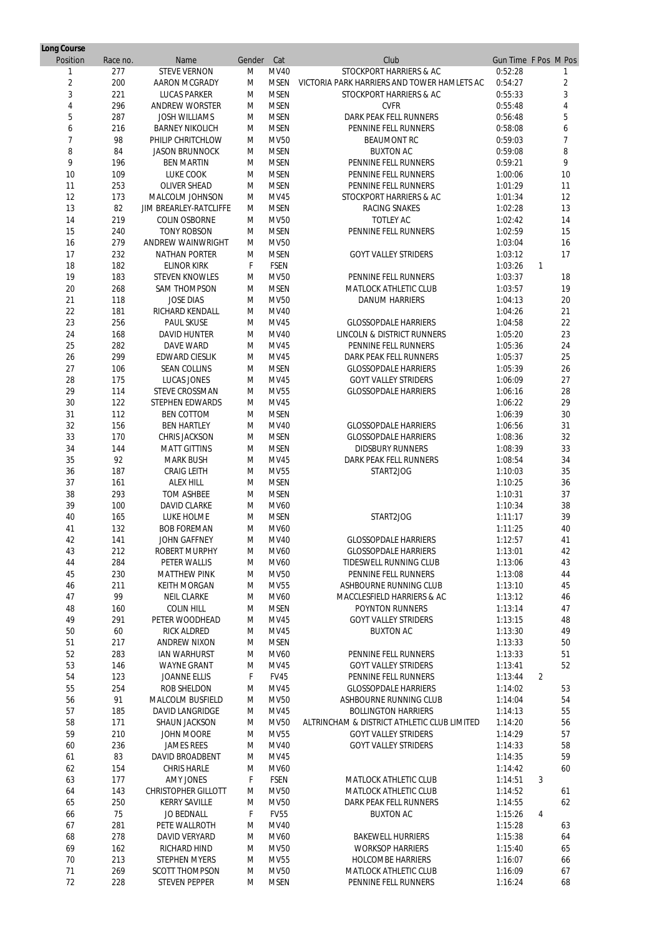| Long Course    |          |                            |        |             |                                             |                      |                |    |
|----------------|----------|----------------------------|--------|-------------|---------------------------------------------|----------------------|----------------|----|
| Position       | Race no. | Name                       | Gender | Cat         | Club                                        | Gun Time F Pos M Pos |                |    |
|                | 277      | <b>STEVE VERNON</b>        | M      | <b>MV40</b> | <b>STOCKPORT HARRIERS &amp; AC</b>          | 0:52:28              |                |    |
| $\overline{2}$ | 200      | <b>AARON MCGRADY</b>       | M      | <b>MSEN</b> | VICTORIA PARK HARRIERS AND TOWER HAMLETS AC | 0:54:27              |                | 2  |
| 3              | 221      | <b>LUCAS PARKER</b>        | M      | <b>MSEN</b> | <b>STOCKPORT HARRIERS &amp; AC</b>          | 0:55:33              |                | 3  |
| 4              | 296      | <b>ANDREW WORSTER</b>      | M      | <b>MSEN</b> | <b>CVFR</b>                                 | 0:55:48              |                | 4  |
| 5              | 287      | <b>JOSH WILLIAMS</b>       | M      | <b>MSEN</b> | <b>DARK PEAK FELL RUNNERS</b>               | 0:56:48              |                | 5  |
| 6              | 216      | <b>BARNEY NIKOLICH</b>     | M      | <b>MSEN</b> | PENNINE FELL RUNNERS                        | 0:58:08              |                | 6  |
| $\overline{7}$ | 98       | PHILIP CHRITCHLOW          | M      | <b>MV50</b> | <b>BEAUMONT RC</b>                          | 0:59:03              |                |    |
| 8              | 84       | <b>JASON BRUNNOCK</b>      | M      | <b>MSEN</b> | <b>BUXTON AC</b>                            | 0:59:08              |                | 8  |
| 9              | 196      | <b>BEN MARTIN</b>          | M      | <b>MSEN</b> | PENNINE FELL RUNNERS                        | 0:59:21              |                | 9  |
| 10             | 109      | <b>LUKE COOK</b>           | M      | <b>MSEN</b> | PENNINE FELL RUNNERS                        | 1:00:06              |                | 10 |
| 11             | 253      | <b>OLIVER SHEAD</b>        | M      | <b>MSEN</b> | PENNINE FELL RUNNERS                        | 1:01:29              |                | 11 |
| 12             | 173      | <b>MALCOLM JOHNSON</b>     | M      | <b>MV45</b> | <b>STOCKPORT HARRIERS &amp; AC</b>          | 1:01:34              |                | 12 |
| 13             | 82       | JIM BREARLEY-RATCLIFFE     | M      | <b>MSEN</b> | <b>RACING SNAKES</b>                        | 1:02:28              |                | 13 |
| 14             | 219      | <b>COLIN OSBORNE</b>       | M      | <b>MV50</b> | <b>TOTLEY AC</b>                            | 1:02:42              |                | 14 |
| 15             | 240      | <b>TONY ROBSON</b>         | M      | <b>MSEN</b> | PENNINE FELL RUNNERS                        | 1:02:59              |                | 15 |
| 16             | 279      | <b>ANDREW WAINWRIGHT</b>   | M      | <b>MV50</b> |                                             | 1:03:04              |                | 16 |
| 17             | 232      | <b>NATHAN PORTER</b>       | M      | <b>MSEN</b> | <b>GOYT VALLEY STRIDERS</b>                 | 1:03:12              |                | 17 |
| 18             | 182      | <b>ELINOR KIRK</b>         | F      | <b>FSEN</b> |                                             | 1:03:26              | $\mathbf{1}$   |    |
| 19             | 183      | <b>STEVEN KNOWLES</b>      | M      | <b>MV50</b> | PENNINE FELL RUNNERS                        | 1:03:37              |                | 18 |
| 20             | 268      | <b>SAM THOMPSON</b>        | M      | <b>MSEN</b> | <b>MATLOCK ATHLETIC CLUB</b>                | 1:03:57              |                | 19 |
| 21             | 118      | <b>JOSE DIAS</b>           | M      | <b>MV50</b> | <b>DANUM HARRIERS</b>                       | 1:04:13              |                | 20 |
| 22             | 181      | RICHARD KENDALL            | M      | <b>MV40</b> |                                             | 1:04:26              |                | 21 |
| 23             | 256      | <b>PAUL SKUSE</b>          | M      | <b>MV45</b> | <b>GLOSSOPDALE HARRIERS</b>                 | 1:04:58              |                | 22 |
| 24             | 168      | <b>DAVID HUNTER</b>        | M      | <b>MV40</b> | <b>LINCOLN &amp; DISTRICT RUNNERS</b>       | 1:05:20              |                | 23 |
| 25             | 282      | <b>DAVE WARD</b>           | M      | MV45        | PENNINE FELL RUNNERS                        | 1:05:36              |                | 24 |
| 26             | 299      | <b>EDWARD CIESLIK</b>      | M      | <b>MV45</b> | <b>DARK PEAK FELL RUNNERS</b>               | 1:05:37              |                | 25 |
| 27             | 106      | <b>SEAN COLLINS</b>        | M      | <b>MSEN</b> | <b>GLOSSOPDALE HARRIERS</b>                 | 1:05:39              |                | 26 |
| 28             | 175      | <b>LUCAS JONES</b>         | M      | <b>MV45</b> | <b>GOYT VALLEY STRIDERS</b>                 | 1:06:09              |                | 27 |
| 29             | 114      | <b>STEVE CROSSMAN</b>      | M      | <b>MV55</b> | <b>GLOSSOPDALE HARRIERS</b>                 | 1:06:16              |                | 28 |
| 30             | 122      | <b>STEPHEN EDWARDS</b>     | м      | MV45        |                                             | 1:06:22              |                | 29 |
| 31             | 112      | <b>BEN COTTOM</b>          | M      | <b>MSEN</b> |                                             | 1:06:39              |                | 30 |
| 32             | 156      | <b>BEN HARTLEY</b>         | M      | <b>MV40</b> | <b>GLOSSOPDALE HARRIERS</b>                 | 1:06:56              |                | 31 |
| 33             | 170      | <b>CHRIS JACKSON</b>       | M      | <b>MSEN</b> | <b>GLOSSOPDALE HARRIERS</b>                 | 1:08:36              |                | 32 |
| 34             | 144      | <b>MATT GITTINS</b>        | M      | <b>MSEN</b> | <b>DIDSBURY RUNNERS</b>                     | 1:08:39              |                | 33 |
| 35             | 92       | <b>MARK BUSH</b>           | M      | MV45        | <b>DARK PEAK FELL RUNNERS</b>               | 1:08:54              |                | 34 |
| 36             | 187      | <b>CRAIG LEITH</b>         | M      | <b>MV55</b> | START2JOG                                   | 1:10:03              |                | 35 |
| 37             | 161      | <b>ALEX HILL</b>           | M      | <b>MSEN</b> |                                             | 1:10:25              |                | 36 |
| 38             | 293      | <b>TOM ASHBEE</b>          | M      | <b>MSEN</b> |                                             | 1:10:31              |                | 37 |
| 39             | 100      | <b>DAVID CLARKE</b>        | M      | <b>MV60</b> |                                             | 1:10:34              |                | 38 |
| 40             | 165      | <b>LUKE HOLME</b>          | M      | <b>MSEN</b> | START2JOG                                   | 1:11:17              |                | 39 |
| 41             | 132      | <b>BOB FOREMAN</b>         | M      | <b>MV60</b> |                                             | 1:11:25              |                | 40 |
| 42             | 141      | <b>JOHN GAFFNEY</b>        | M      | <b>MV40</b> | <b>GLOSSOPDALE HARRIERS</b>                 | 1:12:57              |                | 41 |
| 43             | 212      | <b>ROBERT MURPHY</b>       | M      | <b>MV60</b> | <b>GLOSSOPDALE HARRIERS</b>                 | 1:13:01              |                | 42 |
| 44             | 284      | <b>PETER WALLIS</b>        | M      | <b>MV60</b> | <b>TIDESWELL RUNNING CLUB</b>               | 1:13:06              |                | 43 |
| 45             | 230      | <b>MATTHEW PINK</b>        | M      | <b>MV50</b> | PENNINE FELL RUNNERS                        | 1:13:08              |                | 44 |
| 46             | 211      | <b>KEITH MORGAN</b>        | M      | <b>MV55</b> | <b>ASHBOURNE RUNNING CLUB</b>               | 1:13:10              |                | 45 |
| 47             | 99       | <b>NEIL CLARKE</b>         | M      | <b>MV60</b> | <b>MACCLESFIELD HARRIERS &amp; AC</b>       | 1:13:12              |                | 46 |
| 48             | 160      | <b>COLIN HILL</b>          | M      | <b>MSEN</b> | <b>POYNTON RUNNERS</b>                      | 1:13:14              |                | 47 |
| 49             | 291      | PETER WOODHEAD             | M      | MV45        | <b>GOYT VALLEY STRIDERS</b>                 | 1:13:15              |                | 48 |
| 50             | 60       | <b>RICK ALDRED</b>         | M      | MV45        | <b>BUXTON AC</b>                            | 1:13:30              |                | 49 |
| 51             | 217      | <b>ANDREW NIXON</b>        | M      | <b>MSEN</b> |                                             | 1:13:33              |                | 50 |
| 52             | 283      | <b>IAN WARHURST</b>        | M      | <b>MV60</b> | <b>PENNINE FELL RUNNERS</b>                 | 1:13:33              |                | 51 |
| 53             | 146      | <b>WAYNE GRANT</b>         | M      | MV45        | <b>GOYT VALLEY STRIDERS</b>                 | 1:13:41              |                | 52 |
| 54             | 123      | <b>JOANNE ELLIS</b>        | F      | <b>FV45</b> | <b>PENNINE FELL RUNNERS</b>                 | 1:13:44              | $\overline{2}$ |    |
| 55             | 254      | <b>ROB SHELDON</b>         | M      | MV45        | <b>GLOSSOPDALE HARRIERS</b>                 | 1:14:02              |                | 53 |
| 56             | 91       | <b>MALCOLM BUSFIELD</b>    | M      | <b>MV50</b> | <b>ASHBOURNE RUNNING CLUB</b>               | 1:14:04              |                | 54 |
| 57             | 185      | <b>DAVID LANGRIDGE</b>     | M      | MV45        | <b>BOLLINGTON HARRIERS</b>                  | 1:14:13              |                | 55 |
| 58             | 171      | <b>SHAUN JACKSON</b>       | M      | <b>MV50</b> | ALTRINCHAM & DISTRICT ATHLETIC CLUB LIMITED | 1:14:20              |                | 56 |
| 59             | 210      | <b>JOHN MOORE</b>          | M      | MV55        | <b>GOYT VALLEY STRIDERS</b>                 | 1:14:29              |                | 57 |
| 60             | 236      | <b>JAMES REES</b>          | M      | <b>MV40</b> | <b>GOYT VALLEY STRIDERS</b>                 | 1:14:33              |                | 58 |
| 61             | 83       | <b>DAVID BROADBENT</b>     | M      | MV45        |                                             | 1:14:35              |                | 59 |
| 62             | 154      | <b>CHRIS HARLE</b>         | M      | <b>MV60</b> |                                             | 1:14:42              |                | 60 |
| 63             | 177      | <b>AMY JONES</b>           | F      | <b>FSEN</b> | <b>MATLOCK ATHLETIC CLUB</b>                | 1:14:51              | 3              |    |
| 64             | 143      | <b>CHRISTOPHER GILLOTT</b> | M      | <b>MV50</b> | <b>MATLOCK ATHLETIC CLUB</b>                | 1:14:52              |                | 61 |
| 65             | 250      | <b>KERRY SAVILLE</b>       | M      | <b>MV50</b> | <b>DARK PEAK FELL RUNNERS</b>               | 1:14:55              |                | 62 |
| 66             | 75       | <b>JO BEDNALL</b>          | F      | <b>FV55</b> | <b>BUXTON AC</b>                            | 1:15:26              | 4              |    |
| 67             | 281      | PETE WALLROTH              | M      | <b>MV40</b> |                                             | 1:15:28              |                | 63 |
| 68             | 278      | <b>DAVID VERYARD</b>       | M      | <b>MV60</b> | <b>BAKEWELL HURRIERS</b>                    | 1:15:38              |                | 64 |
| 69             | 162      | <b>RICHARD HIND</b>        | M      | <b>MV50</b> | <b>WORKSOP HARRIERS</b>                     | 1:15:40              |                | 65 |
| 70             | 213      | <b>STEPHEN MYERS</b>       | M      | <b>MV55</b> | <b>HOLCOMBE HARRIERS</b>                    | 1:16:07              |                | 66 |
| 71             | 269      | <b>SCOTT THOMPSON</b>      | M      | <b>MV50</b> | <b>MATLOCK ATHLETIC CLUB</b>                | 1:16:09              |                | 67 |
| 72             | 228      | <b>STEVEN PEPPER</b>       | М      | <b>MSEN</b> | PENNINE FELL RUNNERS                        | 1:16:24              |                | 68 |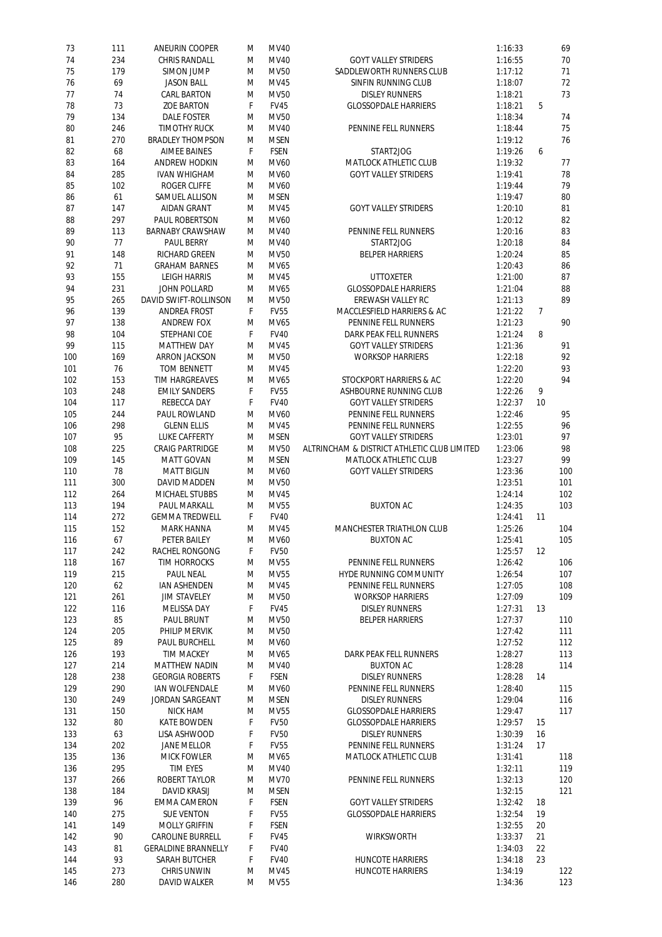| 73  | 111 | <b>ANEURIN COOPER</b>        | M | <b>MV40</b> |                                             | 1:16:33 |    | 69  |
|-----|-----|------------------------------|---|-------------|---------------------------------------------|---------|----|-----|
| 74  | 234 | <b>CHRIS RANDALL</b>         | M | <b>MV40</b> | <b>GOYT VALLEY STRIDERS</b>                 | 1:16:55 |    | 70  |
| 75  | 179 | <b>SIMON JUMP</b>            | M | <b>MV50</b> | <b>SADDLEWORTH RUNNERS CLUB</b>             | 1:17:12 |    | 71  |
| 76  | 69  | <b>JASON BALL</b>            | М | <b>MV45</b> | <b>SINFIN RUNNING CLUB</b>                  | 1:18:07 |    | 72  |
|     |     |                              |   |             |                                             |         |    |     |
| 77  | 74  | <b>CARL BARTON</b>           | M | <b>MV50</b> | <b>DISLEY RUNNERS</b>                       | 1:18:21 |    | 73  |
| 78  | 73  | <b>ZOE BARTON</b>            | F | <b>FV45</b> | <b>GLOSSOPDALE HARRIERS</b>                 | 1:18:21 | 5  |     |
| 79  | 134 | <b>DALE FOSTER</b>           | M | <b>MV50</b> |                                             | 1:18:34 |    | 74  |
| 80  | 246 | <b>TIMOTHY RUCK</b>          | M | <b>MV40</b> | <b>PENNINE FELL RUNNERS</b>                 | 1:18:44 |    | 75  |
| 81  | 270 | <b>BRADLEY THOMPSON</b>      | M | <b>MSEN</b> |                                             | 1:19:12 |    | 76  |
|     |     |                              |   |             |                                             |         |    |     |
| 82  | 68  | <b>AIMEE BAINES</b>          | F | <b>FSEN</b> | START2JOG                                   | 1:19:26 | 6  |     |
| 83  | 164 | <b>ANDREW HODKIN</b>         | M | <b>MV60</b> | <b>MATLOCK ATHLETIC CLUB</b>                | 1:19:32 |    | 77  |
| 84  | 285 | <b>IVAN WHIGHAM</b>          | M | <b>MV60</b> | <b>GOYT VALLEY STRIDERS</b>                 | 1:19:41 |    | 78  |
| 85  | 102 | <b>ROGER CLIFFE</b>          | M | <b>MV60</b> |                                             | 1:19:44 |    | 79  |
| 86  | 61  | <b>SAMUEL ALLISON</b>        | M | <b>MSEN</b> |                                             | 1:19:47 |    | 80  |
| 87  | 147 | <b>AIDAN GRANT</b>           | M | <b>MV45</b> | <b>GOYT VALLEY STRIDERS</b>                 | 1:20:10 |    | 81  |
|     |     |                              |   |             |                                             |         |    |     |
| 88  | 297 | PAUL ROBERTSON               | M | <b>MV60</b> |                                             | 1:20:12 |    | 82  |
| 89  | 113 | <b>BARNABY CRAWSHAW</b>      | M | <b>MV40</b> | PENNINE FELL RUNNERS                        | 1:20:16 |    | 83  |
| 90  | 77  | <b>PAUL BERRY</b>            | M | <b>MV40</b> | START2JOG                                   | 1:20:18 |    | 84  |
| 91  | 148 | <b>RICHARD GREEN</b>         | M | <b>MV50</b> | <b>BELPER HARRIERS</b>                      | 1:20:24 |    | 85  |
| 92  | 71  | <b>GRAHAM BARNES</b>         | M | MV65        |                                             | 1:20:43 |    | 86  |
| 93  | 155 | <b>LEIGH HARRIS</b>          | M | <b>MV45</b> | <b>UTTOXETER</b>                            | 1:21:00 |    | 87  |
|     |     |                              |   |             |                                             |         |    |     |
| 94  | 231 | <b>JOHN POLLARD</b>          | M | MV65        | <b>GLOSSOPDALE HARRIERS</b>                 | 1:21:04 |    | 88  |
| 95  | 265 | <b>DAVID SWIFT-ROLLINSON</b> | M | <b>MV50</b> | <b>EREWASH VALLEY RC</b>                    | 1:21:13 |    | 89  |
| 96  | 139 | <b>ANDREA FROST</b>          | F | <b>FV55</b> | <b>MACCLESFIELD HARRIERS &amp; AC</b>       | 1:21:22 | 7  |     |
| 97  | 138 | <b>ANDREW FOX</b>            | M | MV65        | PENNINE FELL RUNNERS                        | 1:21:23 |    | 90  |
| 98  | 104 | <b>STEPHANI COE</b>          | F | <b>FV40</b> | <b>DARK PEAK FELL RUNNERS</b>               | 1:21:24 | 8  |     |
| 99  | 115 | <b>MATTHEW DAY</b>           | M | <b>MV45</b> | <b>GOYT VALLEY STRIDERS</b>                 | 1:21:36 |    | 91  |
|     |     |                              |   |             |                                             |         |    |     |
| 100 | 169 | <b>ARRON JACKSON</b>         | M | <b>MV50</b> | <b>WORKSOP HARRIERS</b>                     | 1:22:18 |    | 92  |
| 101 | 76  | <b>TOM BENNETT</b>           | M | <b>MV45</b> |                                             | 1:22:20 |    | 93  |
| 102 | 153 | <b>TIM HARGREAVES</b>        | M | MV65        | <b>STOCKPORT HARRIERS &amp; AC</b>          | 1:22:20 |    | 94  |
| 103 | 248 | <b>EMILY SANDERS</b>         | F | <b>FV55</b> | <b>ASHBOURNE RUNNING CLUB</b>               | 1:22:26 | 9  |     |
| 104 | 117 | <b>REBECCA DAY</b>           | F | <b>FV40</b> | <b>GOYT VALLEY STRIDERS</b>                 | 1:22:37 | 10 |     |
|     |     |                              |   |             | <b>PENNINE FELL RUNNERS</b>                 |         |    |     |
| 105 | 244 | <b>PAUL ROWLAND</b>          | M | <b>MV60</b> |                                             | 1:22:46 |    | 95  |
| 106 | 298 | <b>GLENN ELLIS</b>           | M | <b>MV45</b> | <b>PENNINE FELL RUNNERS</b>                 | 1:22:55 |    | 96  |
| 107 | 95  | <b>LUKE CAFFERTY</b>         | M | <b>MSEN</b> | <b>GOYT VALLEY STRIDERS</b>                 | 1:23:01 |    | 97  |
| 108 | 225 | <b>CRAIG PARTRIDGE</b>       | M | <b>MV50</b> | ALTRINCHAM & DISTRICT ATHLETIC CLUB LIMITED | 1:23:06 |    | 98  |
| 109 | 145 | <b>MATT GOVAN</b>            | M | <b>MSEN</b> | <b>MATLOCK ATHLETIC CLUB</b>                | 1:23:27 |    | 99  |
| 110 | 78  | <b>MATT BIGLIN</b>           | M | <b>MV60</b> | <b>GOYT VALLEY STRIDERS</b>                 | 1:23:36 |    | 100 |
| 111 | 300 | <b>DAVID MADDEN</b>          | M | <b>MV50</b> |                                             | 1:23:51 |    | 101 |
|     |     |                              |   |             |                                             |         |    |     |
| 112 | 264 | <b>MICHAEL STUBBS</b>        | M | <b>MV45</b> |                                             | 1:24:14 |    | 102 |
| 113 | 194 | <b>PAUL MARKALL</b>          | M | <b>MV55</b> | <b>BUXTON AC</b>                            | 1:24:35 |    | 103 |
| 114 | 272 | <b>GEMMA TREDWELL</b>        | F | <b>FV40</b> |                                             | 1:24:41 | 11 |     |
| 115 | 152 | <b>MARK HANNA</b>            |   | <b>MV45</b> | <b>MANCHESTER TRIATHLON CLUB</b>            | 1:25:26 |    | 104 |
| 116 |     |                              | M |             |                                             |         |    | 105 |
|     |     |                              |   |             |                                             |         |    |     |
|     | 67  | <b>PETER BAILEY</b>          | M | <b>MV60</b> | <b>BUXTON AC</b>                            | 1:25:41 |    |     |
| 117 | 242 | <b>RACHEL RONGONG</b>        | F | <b>FV50</b> |                                             | 1:25:57 | 12 |     |
| 118 | 167 | <b>TIM HORROCKS</b>          | M | <b>MV55</b> | PENNINE FELL RUNNERS                        | 1:26:42 |    | 106 |
| 119 | 215 | <b>PAUL NEAL</b>             | M | <b>MV55</b> | <b>HYDE RUNNING COMMUNITY</b>               | 1:26:54 |    | 107 |
| 120 | 62  | <b>IAN ASHENDEN</b>          | M | <b>MV45</b> | PENNINE FELL RUNNERS                        | 1:27:05 |    | 108 |
| 121 | 261 | <b>JIM STAVELEY</b>          | M | <b>MV50</b> | <b>WORKSOP HARRIERS</b>                     | 1:27:09 |    | 109 |
|     |     |                              | F |             | <b>DISLEY RUNNERS</b>                       |         | 13 |     |
| 122 | 116 | <b>MELISSA DAY</b>           |   | <b>FV45</b> |                                             | 1:27:31 |    |     |
| 123 | 85  | <b>PAUL BRUNT</b>            | M | <b>MV50</b> | <b>BELPER HARRIERS</b>                      | 1:27:37 |    | 110 |
| 124 | 205 | <b>PHILIP MERVIK</b>         | M | <b>MV50</b> |                                             | 1:27:42 |    | 111 |
| 125 | 89  | <b>PAUL BURCHELL</b>         | M | <b>MV60</b> |                                             | 1:27:52 |    | 112 |
| 126 | 193 | <b>TIM MACKEY</b>            | M | <b>MV65</b> | <b>DARK PEAK FELL RUNNERS</b>               | 1:28:27 |    | 113 |
| 127 | 214 | <b>MATTHEW NADIN</b>         | M | <b>MV40</b> | <b>BUXTON AC</b>                            | 1:28:28 |    | 114 |
| 128 | 238 | <b>GEORGIA ROBERTS</b>       | F | <b>FSEN</b> | <b>DISLEY RUNNERS</b>                       | 1:28:28 | 14 |     |
|     |     |                              |   |             |                                             |         |    |     |
| 129 | 290 | <b>IAN WOLFENDALE</b>        | M | <b>MV60</b> | <b>PENNINE FELL RUNNERS</b>                 | 1:28:40 |    | 115 |
| 130 | 249 | <b>JORDAN SARGEANT</b>       | M | <b>MSEN</b> | <b>DISLEY RUNNERS</b>                       | 1:29:04 |    | 116 |
| 131 | 150 | <b>NICK HAM</b>              | M | <b>MV55</b> | <b>GLOSSOPDALE HARRIERS</b>                 | 1:29:47 |    | 117 |
| 132 | 80  | <b>KATE BOWDEN</b>           | F | <b>FV50</b> | <b>GLOSSOPDALE HARRIERS</b>                 | 1:29:57 | 15 |     |
| 133 | 63  | LISA ASHWOOD                 | F | <b>FV50</b> | <b>DISLEY RUNNERS</b>                       | 1:30:39 | 16 |     |
| 134 | 202 | <b>JANE MELLOR</b>           | F | <b>FV55</b> | PENNINE FELL RUNNERS                        | 1:31:24 | 17 |     |
| 135 | 136 | <b>MICK FOWLER</b>           | M | MV65        | <b>MATLOCK ATHLETIC CLUB</b>                | 1:31:41 |    | 118 |
|     |     |                              |   |             |                                             |         |    |     |
| 136 | 295 | <b>TIM EYES</b>              | M | <b>MV40</b> |                                             | 1:32:11 |    | 119 |
| 137 | 266 | <b>ROBERT TAYLOR</b>         | M | <b>MV70</b> | <b>PENNINE FELL RUNNERS</b>                 | 1:32:13 |    | 120 |
| 138 | 184 | <b>DAVID KRASIJ</b>          | M | <b>MSEN</b> |                                             | 1:32:15 |    | 121 |
| 139 | 96  | <b>EMMA CAMERON</b>          | F | <b>FSEN</b> | <b>GOYT VALLEY STRIDERS</b>                 | 1:32:42 | 18 |     |
| 140 | 275 | <b>SUE VENTON</b>            | F | <b>FV55</b> | <b>GLOSSOPDALE HARRIERS</b>                 | 1:32:54 | 19 |     |
|     |     |                              |   |             |                                             |         |    |     |
| 141 | 149 | <b>MOLLY GRIFFIN</b>         | F | <b>FSEN</b> |                                             | 1:32:55 | 20 |     |
| 142 | 90  | <b>CAROLINE BURRELL</b>      | F | <b>FV45</b> | <b>WIRKSWORTH</b>                           | 1:33:37 | 21 |     |
| 143 | 81  | <b>GERALDINE BRANNELLY</b>   | F | <b>FV40</b> |                                             | 1:34:03 | 22 |     |
| 144 | 93  | <b>SARAH BUTCHER</b>         | F | <b>FV40</b> | <b>HUNCOTE HARRIERS</b>                     | 1:34:18 | 23 |     |
| 145 | 273 | <b>CHRIS UNWIN</b>           | M | <b>MV45</b> | <b>HUNCOTE HARRIERS</b>                     | 1:34:19 |    | 122 |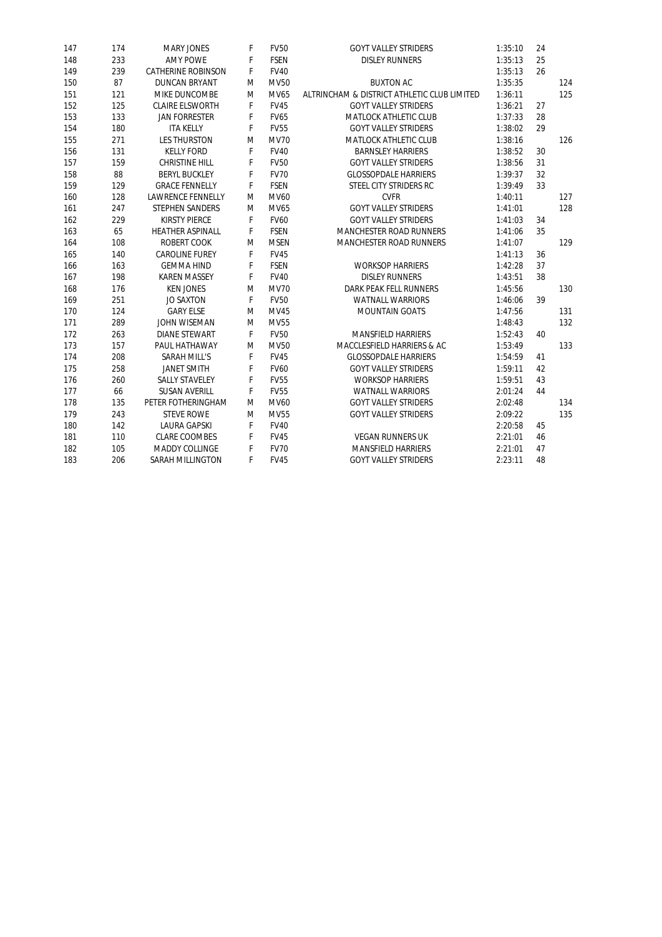| 147 | 174 | <b>MARY JONES</b>         | F | <b>FV50</b> | <b>GOYT VALLEY STRIDERS</b>                 | 1:35:10 | 24 |     |
|-----|-----|---------------------------|---|-------------|---------------------------------------------|---------|----|-----|
| 148 | 233 | <b>AMY POWE</b>           | F | <b>FSEN</b> | <b>DISLEY RUNNERS</b>                       | 1:35:13 | 25 |     |
| 149 | 239 | <b>CATHERINE ROBINSON</b> | F | <b>FV40</b> |                                             | 1:35:13 | 26 |     |
| 150 | 87  | <b>DUNCAN BRYANT</b>      | M | <b>MV50</b> | <b>BUXTON AC</b>                            | 1:35:35 |    | 124 |
| 151 | 121 | <b>MIKE DUNCOMBE</b>      | M | <b>MV65</b> | ALTRINCHAM & DISTRICT ATHLETIC CLUB LIMITED | 1:36:11 |    | 125 |
| 152 | 125 | <b>CLAIRE ELSWORTH</b>    | F | <b>FV45</b> | <b>GOYT VALLEY STRIDERS</b>                 | 1:36:21 | 27 |     |
| 153 | 133 | <b>JAN FORRESTER</b>      | F | <b>FV65</b> | <b>MATLOCK ATHLETIC CLUB</b>                | 1:37:33 | 28 |     |
| 154 | 180 | <b>ITA KELLY</b>          | F | <b>FV55</b> | <b>GOYT VALLEY STRIDERS</b>                 | 1:38:02 | 29 |     |
| 155 | 271 | <b>LES THURSTON</b>       | M | <b>MV70</b> | <b>MATLOCK ATHLETIC CLUB</b>                | 1:38:16 |    | 126 |
| 156 | 131 | <b>KELLY FORD</b>         | F | <b>FV40</b> | <b>BARNSLEY HARRIERS</b>                    | 1:38:52 | 30 |     |
| 157 | 159 | <b>CHRISTINE HILL</b>     | F | <b>FV50</b> | <b>GOYT VALLEY STRIDERS</b>                 | 1:38:56 | 31 |     |
| 158 | 88  | <b>BERYL BUCKLEY</b>      | F | <b>FV70</b> | <b>GLOSSOPDALE HARRIERS</b>                 | 1:39:37 | 32 |     |
| 159 | 129 | <b>GRACE FENNELLY</b>     | F | <b>FSEN</b> | STEEL CITY STRIDERS RC                      | 1:39:49 | 33 |     |
| 160 | 128 | <b>LAWRENCE FENNELLY</b>  | M | MV60        | <b>CVFR</b>                                 | 1:40:11 |    | 127 |
| 161 | 247 | <b>STEPHEN SANDERS</b>    | M | MV65        | <b>GOYT VALLEY STRIDERS</b>                 | 1:41:01 |    | 128 |
| 162 | 229 | <b>KIRSTY PIERCE</b>      | F | <b>FV60</b> | <b>GOYT VALLEY STRIDERS</b>                 | 1:41:03 | 34 |     |
| 163 | 65  | <b>HEATHER ASPINALL</b>   | F | <b>FSEN</b> | <b>MANCHESTER ROAD RUNNERS</b>              | 1:41:06 | 35 |     |
| 164 | 108 | <b>ROBERT COOK</b>        | M | <b>MSEN</b> | <b>MANCHESTER ROAD RUNNERS</b>              | 1:41:07 |    | 129 |
| 165 | 140 | <b>CAROLINE FUREY</b>     | F | <b>FV45</b> |                                             | 1:41:13 | 36 |     |
| 166 | 163 | <b>GEMMA HIND</b>         | F | <b>FSEN</b> | <b>WORKSOP HARRIERS</b>                     | 1:42:28 | 37 |     |
| 167 | 198 | <b>KAREN MASSEY</b>       | F | <b>FV40</b> | <b>DISLEY RUNNERS</b>                       | 1:43:51 | 38 |     |
| 168 | 176 | <b>KEN JONES</b>          | M | <b>MV70</b> | <b>DARK PEAK FELL RUNNERS</b>               | 1:45:56 |    | 130 |
| 169 | 251 | <b>JO SAXTON</b>          | F | <b>FV50</b> | <b>WATNALL WARRIORS</b>                     | 1:46:06 | 39 |     |
| 170 | 124 | <b>GARY ELSE</b>          | M | <b>MV45</b> | <b>MOUNTAIN GOATS</b>                       | 1:47:56 |    | 131 |
| 171 | 289 | <b>JOHN WISEMAN</b>       | M | <b>MV55</b> |                                             | 1:48:43 |    | 132 |
| 172 | 263 | <b>DIANE STEWART</b>      | F | <b>FV50</b> | <b>MANSFIELD HARRIERS</b>                   | 1:52:43 | 40 |     |
| 173 | 157 | PAUL HATHAWAY             | M | <b>MV50</b> | <b>MACCLESFIELD HARRIERS &amp; AC</b>       | 1:53:49 |    | 133 |
| 174 | 208 | <b>SARAH MILL'S</b>       | F | <b>FV45</b> | <b>GLOSSOPDALE HARRIERS</b>                 | 1:54:59 | 41 |     |
| 175 | 258 | <b>JANET SMITH</b>        | F | <b>FV60</b> | <b>GOYT VALLEY STRIDERS</b>                 | 1:59:11 | 42 |     |
| 176 | 260 | <b>SALLY STAVELEY</b>     | F | <b>FV55</b> | <b>WORKSOP HARRIERS</b>                     | 1:59:51 | 43 |     |
| 177 | 66  | <b>SUSAN AVERILL</b>      | F | <b>FV55</b> | <b>WATNALL WARRIORS</b>                     | 2:01:24 | 44 |     |
| 178 | 135 | PETER FOTHERINGHAM        | M | <b>MV60</b> | <b>GOYT VALLEY STRIDERS</b>                 | 2:02:48 |    | 134 |
| 179 | 243 | <b>STEVE ROWE</b>         | M | <b>MV55</b> | <b>GOYT VALLEY STRIDERS</b>                 | 2:09:22 |    | 135 |
| 180 | 142 | <b>LAURA GAPSKI</b>       | F | <b>FV40</b> |                                             | 2:20:58 | 45 |     |
| 181 | 110 | <b>CLARE COOMBES</b>      | F | <b>FV45</b> | <b>VEGAN RUNNERS UK</b>                     | 2:21:01 | 46 |     |
| 182 | 105 | <b>MADDY COLLINGE</b>     | F | <b>FV70</b> | <b>MANSFIELD HARRIERS</b>                   | 2:21:01 | 47 |     |
| 183 | 206 | <b>SARAH MILLINGTON</b>   | F | <b>FV45</b> | <b>GOYT VALLEY STRIDERS</b>                 | 2:23:11 | 48 |     |